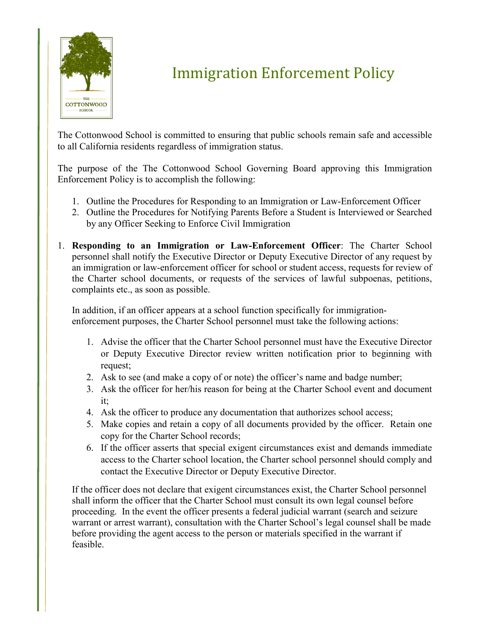

## Immigration Enforcement Policy

The Cottonwood School is committed to ensuring that public schools remain safe and accessible to all California residents regardless of immigration status.

The purpose of the The Cottonwood School Governing Board approving this Immigration Enforcement Policy is to accomplish the following:

- 1. Outline the Procedures for Responding to an Immigration or Law-Enforcement Officer
- 2. Outline the Procedures for Notifying Parents Before a Student is Interviewed or Searched by any Officer Seeking to Enforce Civil Immigration
- 1. **Responding to an Immigration or Law-Enforcement Officer**: The Charter School personnel shall notify the Executive Director or Deputy Executive Director of any request by an immigration or law-enforcement officer for school or student access, requests for review of the Charter school documents, or requests of the services of lawful subpoenas, petitions, complaints etc., as soon as possible.

In addition, if an officer appears at a school function specifically for immigrationenforcement purposes, the Charter School personnel must take the following actions:

- 1. Advise the officer that the Charter School personnel must have the Executive Director or Deputy Executive Director review written notification prior to beginning with request;
- 2. Ask to see (and make a copy of or note) the officer's name and badge number;
- 3. Ask the officer for her/his reason for being at the Charter School event and document it;
- 4. Ask the officer to produce any documentation that authorizes school access;
- 5. Make copies and retain a copy of all documents provided by the officer. Retain one copy for the Charter School records;
- 6. If the officer asserts that special exigent circumstances exist and demands immediate access to the Charter school location, the Charter school personnel should comply and contact the Executive Director or Deputy Executive Director.

If the officer does not declare that exigent circumstances exist, the Charter School personnel shall inform the officer that the Charter School must consult its own legal counsel before proceeding. In the event the officer presents a federal judicial warrant (search and seizure warrant or arrest warrant), consultation with the Charter School's legal counsel shall be made before providing the agent access to the person or materials specified in the warrant if feasible.